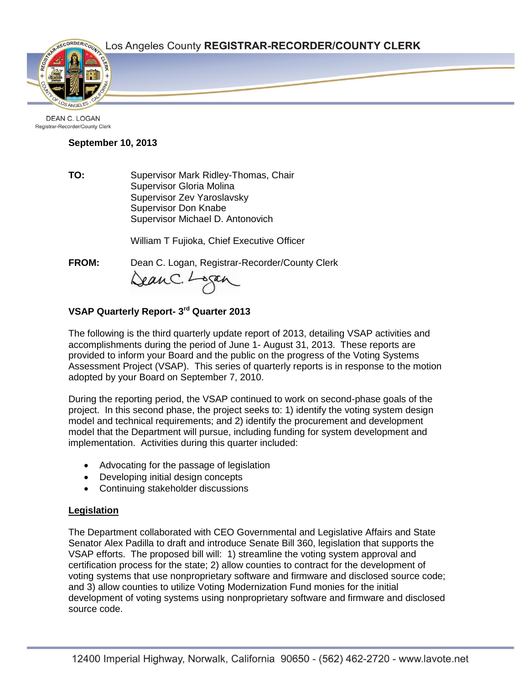Page 1



DEAN C. LOGAN Registrar-Recorder/County Clerk

## **September 10, 2013**

**TO:** Supervisor Mark Ridley-Thomas, Chair Supervisor Gloria Molina Supervisor Zev Yaroslavsky Supervisor Don Knabe Supervisor Michael D. Antonovich

William T Fujioka, Chief Executive Officer

**FROM:** Dean C. Logan, Registrar-Recorder/County Clerk

Dean C. Logan

# **VSAP Quarterly Report- 3 rd Quarter 2013**

The following is the third quarterly update report of 2013, detailing VSAP activities and accomplishments during the period of June 1- August 31, 2013. These reports are provided to inform your Board and the public on the progress of the Voting Systems Assessment Project (VSAP). This series of quarterly reports is in response to the motion adopted by your Board on September 7, 2010.

During the reporting period, the VSAP continued to work on second-phase goals of the project. In this second phase, the project seeks to: 1) identify the voting system design model and technical requirements; and 2) identify the procurement and development model that the Department will pursue, including funding for system development and implementation. Activities during this quarter included:

- Advocating for the passage of legislation
- Developing initial design concepts
- Continuing stakeholder discussions

# **Legislation**

The Department collaborated with CEO Governmental and Legislative Affairs and State Senator Alex Padilla to draft and introduce Senate Bill 360, legislation that supports the VSAP efforts. The proposed bill will: 1) streamline the voting system approval and certification process for the state; 2) allow counties to contract for the development of voting systems that use nonproprietary software and firmware and disclosed source code; and 3) allow counties to utilize Voting Modernization Fund monies for the initial development of voting systems using nonproprietary software and firmware and disclosed source code.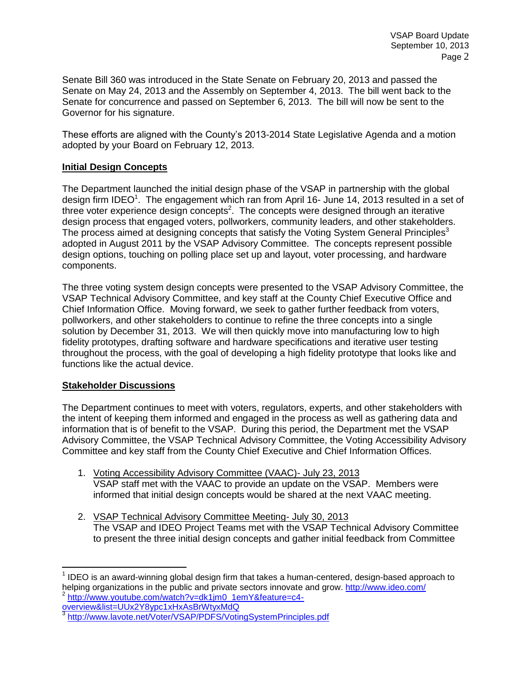Senate Bill 360 was introduced in the State Senate on February 20, 2013 and passed the Senate on May 24, 2013 and the Assembly on September 4, 2013. The bill went back to the Senate for concurrence and passed on September 6, 2013. The bill will now be sent to the Governor for his signature.

These efforts are aligned with the County's 2013-2014 State Legislative Agenda and a motion adopted by your Board on February 12, 2013.

#### **Initial Design Concepts**

The Department launched the initial design phase of the VSAP in partnership with the global design firm IDEO<sup>1</sup>. The engagement which ran from April 16- June 14, 2013 resulted in a set of three voter experience design concepts<sup>2</sup>. The concepts were designed through an iterative design process that engaged voters, pollworkers, community leaders, and other stakeholders. The process aimed at designing concepts that satisfy the Voting System General Principles<sup>3</sup> adopted in August 2011 by the VSAP Advisory Committee. The concepts represent possible design options, touching on polling place set up and layout, voter processing, and hardware components.

The three voting system design concepts were presented to the VSAP Advisory Committee, the VSAP Technical Advisory Committee, and key staff at the County Chief Executive Office and Chief Information Office. Moving forward, we seek to gather further feedback from voters, pollworkers, and other stakeholders to continue to refine the three concepts into a single solution by December 31, 2013. We will then quickly move into manufacturing low to high fidelity prototypes, drafting software and hardware specifications and iterative user testing throughout the process, with the goal of developing a high fidelity prototype that looks like and functions like the actual device.

#### **Stakeholder Discussions**

 $\overline{a}$ 

The Department continues to meet with voters, regulators, experts, and other stakeholders with the intent of keeping them informed and engaged in the process as well as gathering data and information that is of benefit to the VSAP. During this period, the Department met the VSAP Advisory Committee, the VSAP Technical Advisory Committee, the Voting Accessibility Advisory Committee and key staff from the County Chief Executive and Chief Information Offices.

- 1. Voting Accessibility Advisory Committee (VAAC)- July 23, 2013 VSAP staff met with the VAAC to provide an update on the VSAP. Members were informed that initial design concepts would be shared at the next VAAC meeting.
- 2. VSAP Technical Advisory Committee Meeting- July 30, 2013 The VSAP and IDEO Project Teams met with the VSAP Technical Advisory Committee to present the three initial design concepts and gather initial feedback from Committee

[overview&list=UUx2Y8ypc1xHxAsBrWtyxMdQ](http://www.youtube.com/watch?v=dk1jm0_1emY&feature=c4-overview&list=UUx2Y8ypc1xHxAsBrWtyxMdQ)<br>3 http://www.lovate.pot/\/oter\/SAR/BDFS\/oti

 $1$  IDEO is an award-winning global design firm that takes a human-centered, design-based approach to helping organizations in the public and private sectors innovate and grow.<http://www.ideo.com/> <sup>2</sup> [http://www.youtube.com/watch?v=dk1jm0\\_1emY&feature=c4-](http://www.youtube.com/watch?v=dk1jm0_1emY&feature=c4-overview&list=UUx2Y8ypc1xHxAsBrWtyxMdQ)

<http://www.lavote.net/Voter/VSAP/PDFS/VotingSystemPrinciples.pdf>